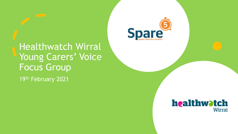Healthwatch Wirral Young Carers' Voice Focus Group 19th February 2021



#### healthwatch **Wirral**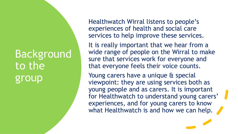#### Background to the group

Healthwatch Wirral listens to people's experiences of health and social care services to help improve these services.

It is really important that we hear from a wide range of people on the Wirral to make sure that services work for everyone and that everyone feels their voice counts.

Young carers have a unique & special viewpoint: they are using services both as young people and as carers. It is important for Healthwatch to understand young carers' experiences, and for young carers to know what Healthwatch is and how we can help.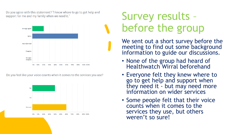Do you agree with this statement? "I know where to go to get help and support for me and my family when we need it."



Do you feel like your voice counts when it comes to the services you use?



#### Survey results – before the group

We sent out a short survey before the meeting to find out some background information to guide our discussions.

- None of the group had heard of Healthwatch Wirral beforehand
- Everyone felt they knew where to go to get help and support when they need it - but may need more information on wider services
- Some people felt that their voice counts when it comes to the services they use, but others weren't so sure!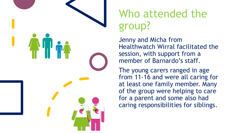

### Who attended the group?

Jenny and Micha from Healthwatch Wirral facilitated the session, with support from a member of Barnardo's staff.

The young carers ranged in age from 11-16 and were all caring for at least one family member. Many of the group were helping to care for a parent and some also had caring responsibilities for siblings.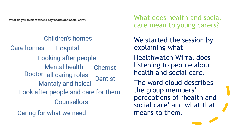What do you think of when I say 'health and social care'?

#### Children's homes

Care homes **Hospital** Looking after people Mental health **Chemst** Doctor all caring roles **Dentist Mantaly and fisical** Look after people and care for them **Counsellors** 

Caring for what we need

What does health and social care mean to young carers?

We started the session by explaining what

Healthwatch Wirral does – listening to people about health and social care.

The word cloud describes the group members' perceptions of 'health and social care' and what that means to them.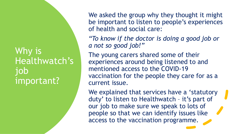#### Why is Healthwatch's job important?

We asked the group why they thought it might be important to listen to people's experiences of health and social care:

*"To know if the doctor is doing a good job or a not so good job!"*

The young carers shared some of their experiences around being listened to and mentioned access to the COVID-19 vaccination for the people they care for as a current issue.

We explained that services have a 'statutory duty' to listen to Healthwatch – it's part of our job to make sure we speak to lots of people so that we can identify issues like access to the vaccination programme.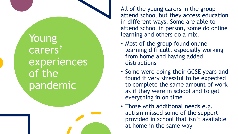Young carers' experiences of the pandemic

All of the young carers in the group attend school but they access education in different ways. Some are able to attend school in person, some do online learning and others do a mix.

- Most of the group found online learning difficult, especially working from home and having added distractions
- Some were doing their GCSE years and found it very stressful to be expected to complete the same amount of work as if they were in school and to get everything in on time
- Those with additional needs e.g. autism missed some of the support provided in school that isn't available at home in the same way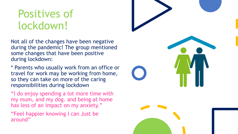#### Positives of lockdown!

Not all of the changes have been negative during the pandemic! The group mentioned some changes that have been positive during lockdown:

\* Parents who usually work from an office or travel for work may be working from home, so they can take on more of the caring responsibilities during lockdown

"I do enjoy spending a lot more time with my mum, and my dog. and being at home has less of an impact on my anxiety."

"Feel happier knowing I can Just be around"

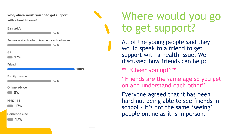Who/where would you go to get support with a health issue?

| Barnardo's<br>67%                                     |      |
|-------------------------------------------------------|------|
| Someone at school e.g. teacher or school nurse<br>67% |      |
| GP<br>17%                                             |      |
| Friend                                                | 100% |
| Family member<br>67%                                  |      |
| Online advice<br>0%                                   |      |
| <b>NHS 111</b><br>17%                                 |      |
|                                                       |      |

Someone else

 $17%$ 

### Where would you go to get support?

All of the young people said they would speak to a friend to get support with a health issue. We discussed how friends can help:

\*\* "Cheer you up!"\*\*

"Friends are the same age so you get on and understand each other"

Everyone agreed that it has been hard not being able to see friends in school – it's not the same 'seeing' people online as it is in person.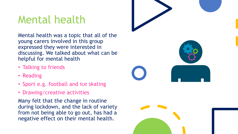### Mental health

Mental health was a topic that all of the young carers involved in this group expressed they were interested in discussing. We talked about what can be helpful for mental health

- Talking to friends
- Reading
- Sport e.g. football and ice skating
- Drawing/creative activities

Many felt that the change in routine during lockdown, and the lack of variety from not being able to go out, has had a negative effect on their mental health.

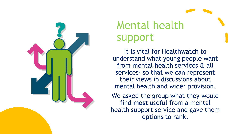

# Mental health support

It is vital for Healthwatch to understand what young people want from mental health services & all services- so that we can represent their views in discussions about mental health and wider provision.

We asked the group what they would find **most** useful from a mental health support service and gave them options to rank.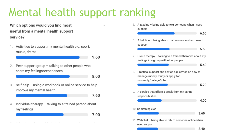## Mental health support ranking

Which options would you find most useful from a mental health support service?

Activities to support my mental health e.g. sport, music, drama

Peer support group  $-$  talking to other people who 2. share my feelings/experiences

8.00

9.60

Self-help - using a workbook or online service to help 3. improve my mental health

7.60

7.00

Individual therapy  $-$  talking to a trained person about 4. my feelings

active and the characteristic state and activities of the control of the control of

5. A textline - being able to text someone when I need support 6.60 6. A helpline - being able to call someone when I need support 5.60 7. Group therapy - talking to a trained therapist about my feelings in a group with other people 5.40 8. Practical support and advice e.g. advice on how to manage money, study or apply for university/college/jobs 5.20 A service that offers a break from my caring 9. responsibilities 4.00 10. Something else 3.60 11. Webchat - being able to talk to someone online when I need support  $3.40$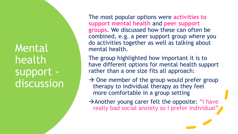Mental health support discussion The most popular options were **activities to support mental health** and **peer support groups**. We discussed how these can often be combined, e.g. a peer support group where you do activities together as well as talking about mental health.

The group highlighted how important it is to have different options for mental health support rather than a one size fits all approach:

 $\rightarrow$  One member of the group would prefer group therapy to individual therapy as they feel more comfortable in a group setting

→Another young carer felt the opposite: "I have really bad social anxiety so I prefer individual"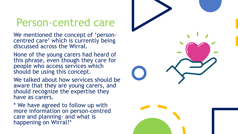#### Person-centred care

We mentioned the concept of 'personcentred care' which is currently being discussed across the Wirral.

None of the young carers had heard of this phrase, even though they care for people who access services which should be using this concept.

We talked about how services should be aware that they are young carers, and should recognize the expertise they have as carers.

\* We have agreed to follow up with more information on person-centred care and planning- and what is happening on Wirral!\*